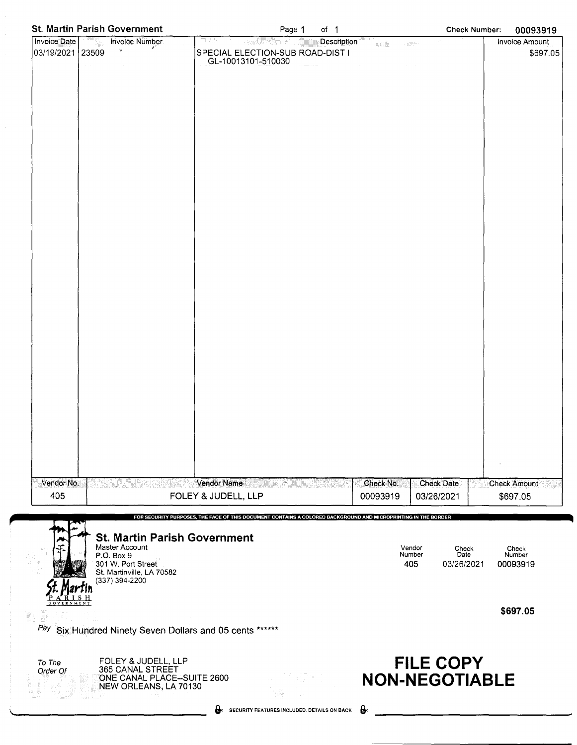| St. Martin Parish Government                                  | Page 1<br>of $1$                                                                                               | <b>Check Number:</b>                                                       | 00093919              |
|---------------------------------------------------------------|----------------------------------------------------------------------------------------------------------------|----------------------------------------------------------------------------|-----------------------|
| Invoice Date<br><b>Invoice Number</b>                         | mp<br>Description<br>ņņa.<br>는 1914년 2월 <sup>30</sup>                                                          | $\gamma_{\rm{max}}^{\rm{N}}$ .<br>.<br>Seda<br>$\chi$ is directed.         | <b>Invoice Amount</b> |
| $\mathcal{L}$<br>03/19/2021<br>23509                          | SPECIAL ELECTION-SUB ROAD-DIST I                                                                               |                                                                            | \$697.05              |
| $\alpha$ , $\alpha$<br>$\sim 10^{-1}$                         | GL-10013101-510030                                                                                             | $\alpha\in\mathbb{R}^n$ , $\alpha\in\mathbb{R}^n$<br>$\alpha$ and $\alpha$ |                       |
|                                                               |                                                                                                                |                                                                            |                       |
|                                                               |                                                                                                                |                                                                            |                       |
|                                                               |                                                                                                                |                                                                            |                       |
|                                                               |                                                                                                                |                                                                            |                       |
|                                                               |                                                                                                                |                                                                            |                       |
|                                                               |                                                                                                                |                                                                            |                       |
|                                                               |                                                                                                                |                                                                            |                       |
|                                                               |                                                                                                                |                                                                            |                       |
|                                                               |                                                                                                                |                                                                            |                       |
|                                                               |                                                                                                                |                                                                            |                       |
|                                                               |                                                                                                                |                                                                            |                       |
|                                                               |                                                                                                                |                                                                            |                       |
|                                                               |                                                                                                                |                                                                            |                       |
|                                                               |                                                                                                                |                                                                            |                       |
|                                                               |                                                                                                                |                                                                            |                       |
|                                                               |                                                                                                                |                                                                            |                       |
|                                                               |                                                                                                                |                                                                            |                       |
|                                                               |                                                                                                                |                                                                            |                       |
|                                                               |                                                                                                                |                                                                            |                       |
|                                                               |                                                                                                                |                                                                            |                       |
|                                                               |                                                                                                                |                                                                            |                       |
|                                                               |                                                                                                                |                                                                            |                       |
|                                                               |                                                                                                                |                                                                            |                       |
|                                                               |                                                                                                                |                                                                            |                       |
|                                                               |                                                                                                                |                                                                            |                       |
|                                                               |                                                                                                                |                                                                            |                       |
|                                                               |                                                                                                                |                                                                            |                       |
|                                                               |                                                                                                                |                                                                            |                       |
|                                                               |                                                                                                                |                                                                            |                       |
|                                                               |                                                                                                                |                                                                            |                       |
|                                                               |                                                                                                                |                                                                            |                       |
|                                                               |                                                                                                                |                                                                            |                       |
|                                                               | Vendor Name                                                                                                    |                                                                            |                       |
| Vendor No.<br>405                                             |                                                                                                                | Check No.<br><b>Check Date</b>                                             | <b>Check Amount</b>   |
|                                                               | FOLEY & JUDELL, LLP                                                                                            | 00093919<br>03/26/2021                                                     | \$697.05              |
|                                                               | FOR SECURITY PURPOSES, THE FACE OF THIS DOCUMENT CONTAINS A COLORED BACKGROUND AND MICROPRINTING IN THE BORDER |                                                                            |                       |
|                                                               |                                                                                                                |                                                                            |                       |
| <b>St. Martin Parish Government</b><br>Master Account         |                                                                                                                | Vendor                                                                     |                       |
| P.O. Box 9                                                    |                                                                                                                | Check<br>Number<br>Date                                                    | Check<br>Number       |
| 301 W. Port Street<br>St. Martinville, LA 70582               |                                                                                                                | 405<br>03/26/2021                                                          | 00093919              |
| (337) 394-2200                                                |                                                                                                                |                                                                            |                       |
|                                                               |                                                                                                                |                                                                            |                       |
|                                                               |                                                                                                                |                                                                            |                       |
|                                                               |                                                                                                                |                                                                            | \$697.05              |
| Pay Six Hundred Ninety Seven Dollars and 05 cents ******      |                                                                                                                |                                                                            |                       |
|                                                               |                                                                                                                |                                                                            |                       |
|                                                               |                                                                                                                |                                                                            |                       |
| FOLEY & JUDELL, LLP<br>To The<br>365 CANAL STREET<br>Order Of |                                                                                                                | <b>FILE COPY</b>                                                           |                       |
| ONE CANAL PLACE-SUITE 2600                                    |                                                                                                                | <b>NON-NEGOTIABLE</b>                                                      |                       |
| NEW ORLEANS, LA 70130                                         |                                                                                                                |                                                                            |                       |
|                                                               | SECURITY FEATURES INCLUDED. DETAILS ON BACK                                                                    | $\mathbf{e}$                                                               |                       |
|                                                               |                                                                                                                |                                                                            |                       |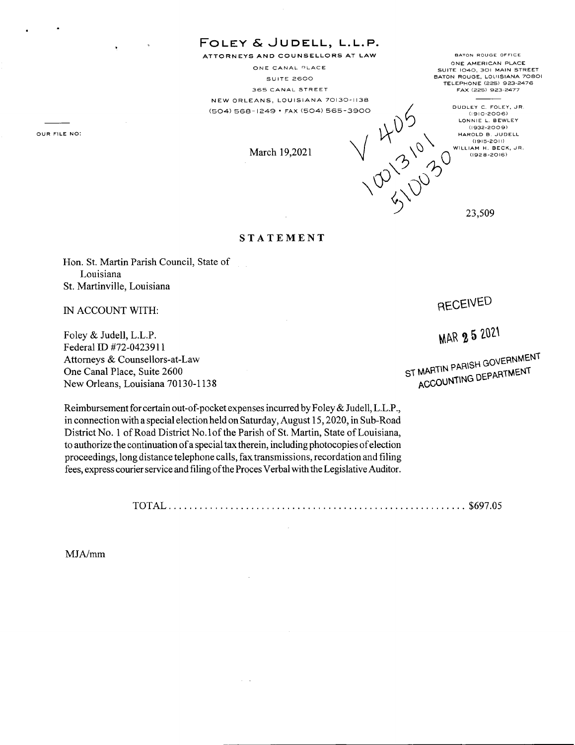**FOLEY & JU DELL, L.L.P.**  ATTORNEYS AND COUNSELLORS AT LAW

ONE CANAL PLACE SUITE 2600 **365 CANAL STREET**  NEW ORLEANS, LOUISIANA 70130-1138 (504) 568-1249 • FAX (504) 565-3900

**BATON ROUGE OFFICE ONE AMERICAN PLACE SUITE 1040, 301 MAIN STREET BATON ROUGE, LOUISIANA 70801 TELEPHONE (225) 923-2476 FAX (225) 923-2477** 

(1910-2006)<br>LONNIE L. BEWLEY 1-1249 • FAX (504) 565-3900<br>
(1915-2009)<br>
March 19,2021<br>
March 19,2021 HAROLD B. JUDELL<br>(1915-2011)

23,509

10 'S 100

## **ST A TEMENT**

Hon. St. Martin Parish Council, State of Louisiana St. Martinville, Louisiana

IN ACCOUNT WITH:

**OUR FILE NO:** 

Foley & Judell, L.L.P. Federal ID #72-0423911 Attorneys & Counsellors-at-Law One Canal Place, Suite 2600 New Orleans, Louisiana 70130-1138

Reimbursement for certain out-of-pocket expenses incurred by Foley & Judell, L.L.P., in connection with a special election held on Saturday, August 15, 2020, in Sub-Road District No. 1 of Road District No. lof the Parish of St. Martin, State of Louisiana, to authorize the continuation of a special tax therein, including photocopies of election proceedings, long distance telephone calls, fax transmissions, recordation and filing fees, express courier service and filing of the Proces Verbal with the Legislative Auditor.

TOTAL .......................................................... \$697.05

MJA/mrn

## RECENED

MAR 2 5 2021

ST MARTIN PARISH GOVERNMENT MARTIN PARISH GOVERNMENT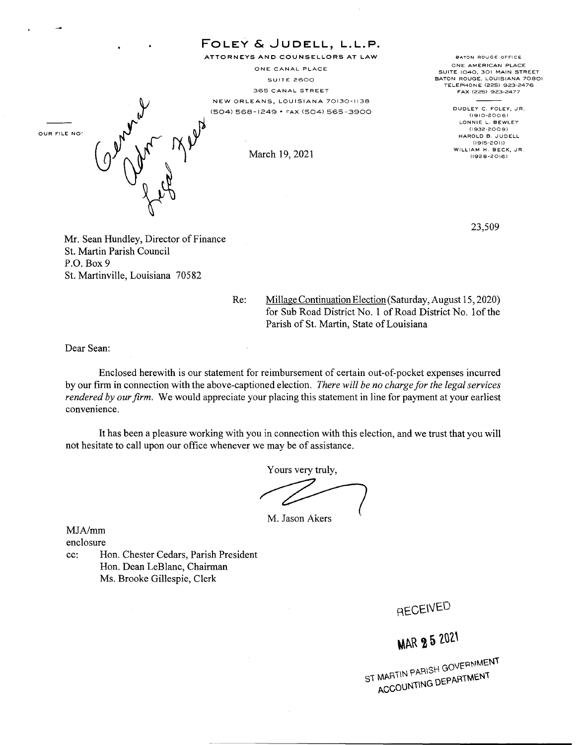FOLEY & JUDELL, L.L.P. ATTORNEYS AND COUNSELLORS AT LAW BATON ROUGE OFFICE ONE AMERICAN PLACE ONE CANAL PLACE SUITE 1040, 301 MAIN STREET BATON ROUGE, LOUISIANA 70BOI SUITE 2600 TELEPHONE (225) 923-2476 365 CANAL STREET FAX (225) 923-2477 NEW ORLEANS, LOUISIANA 70130-1138 DUDLEY C. FOLEY, JR. (504) 568-1249 • FAX (504) 565-3900 Caphyn 2 1 (1910-2006) LONNIE L. BEWLEY (1932-200 9) OUR FILE NO' HAROLD B. JUDELL (1915-201!) WILLIAM H. BECK, JR. March 19, 2021  $(1928 - 2016)$ 23,509

Mr. Sean Hundley, Director of Finance St. Martin Parish Council P.O. Box9 St. Martinville, Louisiana 70582

> Re: Millage Continuation Election (Saturday, August 15, 2020) for Sub Road District No. 1 of Road District No. lof the Parish of St. Martin, State of Louisiana

Dear Sean:

Enclosed herewith is our statement for reimbursement of certain out-of-pocket expenses incurred by our firm in connection with the above-captioned election. *There will be no charge for the legal services rendered by our firm.* We would appreciate your placing this statement in line for payment at your earliest convenience.

It has been a pleasure working with you in connection with this election, and we trust that you will not hesitate to call upon our office whenever we may be of assistance.

Yours very truly,

M. Jason Akers

MJAJmm enclosure

cc: Hon. Chester Cedars, Parish President Hon. Dean LeBlanc, Chairman Ms. Brooke Gillespie, Clerk

RECEIVED

**MAR 25 2021** 

ST MARTIN PARISH GOVERNMENT MARTIN PARISH GOVERNMENT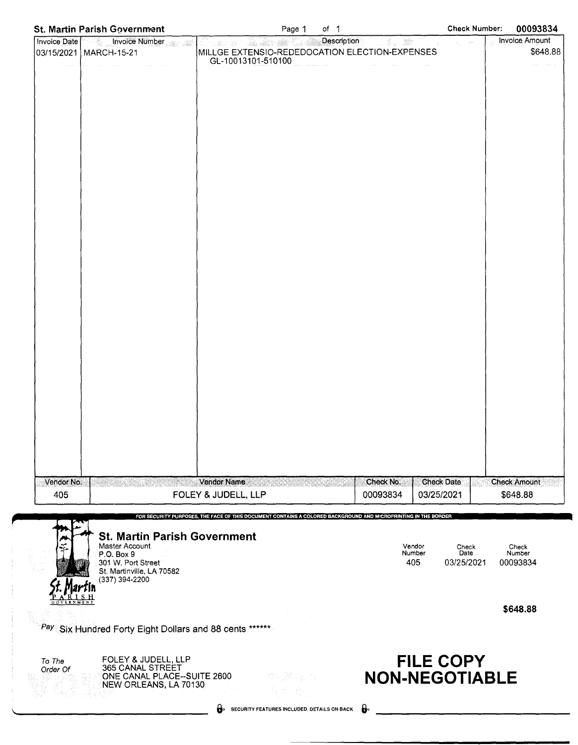| St. Martin Parish Government                            | Page 1<br>of $1$                                                                                                                                                                                                                                                                                                                                                                                                                                                                                 | <b>Check Number:</b>                 | 00093834            |
|---------------------------------------------------------|--------------------------------------------------------------------------------------------------------------------------------------------------------------------------------------------------------------------------------------------------------------------------------------------------------------------------------------------------------------------------------------------------------------------------------------------------------------------------------------------------|--------------------------------------|---------------------|
| Invoice Date<br><b>Example 1</b> Invoice Number         | Description<br><u>Les de Series en Ca</u>                                                                                                                                                                                                                                                                                                                                                                                                                                                        | Latika III.<br>.<br>Domini na katika | Invoice Amount      |
| 03/15/2021   MARCH-15-21                                | MILLGE EXTENSIO-REDEDOCATION ELECTION-EXPENSES<br>GL-10013101-510100                                                                                                                                                                                                                                                                                                                                                                                                                             |                                      | \$648.88            |
| المحاف المستردد والمتحدث والمستعار والمتناو             | $\label{eq:1.1} \begin{aligned} \text{minimize} \quad & \text{if} \quad \mathbf{u} = \mathbf{u} \text{ and } \quad \mathbf{u} = \mathbf{u} \text{ and } \quad \mathbf{u} = \mathbf{u} \text{ and } \quad \mathbf{u} = \mathbf{u} \text{ and } \quad \mathbf{u} = \mathbf{u} \text{ and } \quad \mathbf{u} = \mathbf{u} \text{ and } \quad \mathbf{u} = \mathbf{u} \text{ and } \quad \mathbf{u} = \mathbf{u} \text{ and } \quad \mathbf{u} = \mathbf{u} \text{ and } \quad \mathbf{u} = \mathbf$ | and the management of                |                     |
|                                                         |                                                                                                                                                                                                                                                                                                                                                                                                                                                                                                  |                                      |                     |
|                                                         |                                                                                                                                                                                                                                                                                                                                                                                                                                                                                                  |                                      |                     |
|                                                         |                                                                                                                                                                                                                                                                                                                                                                                                                                                                                                  |                                      |                     |
|                                                         |                                                                                                                                                                                                                                                                                                                                                                                                                                                                                                  |                                      |                     |
|                                                         |                                                                                                                                                                                                                                                                                                                                                                                                                                                                                                  |                                      |                     |
|                                                         |                                                                                                                                                                                                                                                                                                                                                                                                                                                                                                  |                                      |                     |
|                                                         |                                                                                                                                                                                                                                                                                                                                                                                                                                                                                                  |                                      |                     |
|                                                         |                                                                                                                                                                                                                                                                                                                                                                                                                                                                                                  |                                      |                     |
|                                                         |                                                                                                                                                                                                                                                                                                                                                                                                                                                                                                  |                                      |                     |
|                                                         |                                                                                                                                                                                                                                                                                                                                                                                                                                                                                                  |                                      |                     |
|                                                         |                                                                                                                                                                                                                                                                                                                                                                                                                                                                                                  |                                      |                     |
|                                                         |                                                                                                                                                                                                                                                                                                                                                                                                                                                                                                  |                                      |                     |
|                                                         |                                                                                                                                                                                                                                                                                                                                                                                                                                                                                                  |                                      |                     |
|                                                         |                                                                                                                                                                                                                                                                                                                                                                                                                                                                                                  |                                      |                     |
|                                                         |                                                                                                                                                                                                                                                                                                                                                                                                                                                                                                  |                                      |                     |
|                                                         |                                                                                                                                                                                                                                                                                                                                                                                                                                                                                                  |                                      |                     |
|                                                         |                                                                                                                                                                                                                                                                                                                                                                                                                                                                                                  |                                      |                     |
|                                                         |                                                                                                                                                                                                                                                                                                                                                                                                                                                                                                  |                                      |                     |
|                                                         |                                                                                                                                                                                                                                                                                                                                                                                                                                                                                                  |                                      |                     |
|                                                         |                                                                                                                                                                                                                                                                                                                                                                                                                                                                                                  |                                      |                     |
|                                                         |                                                                                                                                                                                                                                                                                                                                                                                                                                                                                                  |                                      |                     |
|                                                         |                                                                                                                                                                                                                                                                                                                                                                                                                                                                                                  |                                      |                     |
|                                                         |                                                                                                                                                                                                                                                                                                                                                                                                                                                                                                  |                                      |                     |
|                                                         |                                                                                                                                                                                                                                                                                                                                                                                                                                                                                                  |                                      |                     |
|                                                         |                                                                                                                                                                                                                                                                                                                                                                                                                                                                                                  |                                      |                     |
|                                                         |                                                                                                                                                                                                                                                                                                                                                                                                                                                                                                  |                                      |                     |
|                                                         |                                                                                                                                                                                                                                                                                                                                                                                                                                                                                                  |                                      |                     |
|                                                         |                                                                                                                                                                                                                                                                                                                                                                                                                                                                                                  |                                      |                     |
|                                                         |                                                                                                                                                                                                                                                                                                                                                                                                                                                                                                  |                                      |                     |
| Vendor No.                                              | Vendor Name                                                                                                                                                                                                                                                                                                                                                                                                                                                                                      | Check No.<br><b>Check Date</b>       | <b>Check Amount</b> |
| 405                                                     | FOLEY & JUDELL, LLP                                                                                                                                                                                                                                                                                                                                                                                                                                                                              | 00093834<br>03/25/2021               | \$648.88            |
|                                                         | FOR SECURITY PURPOSES, THE FACE OF THIS DOCUMENT CONTAINS A COLORED BACKGROUND AND MICROPRINTING IN THE BORDER                                                                                                                                                                                                                                                                                                                                                                                   |                                      |                     |
|                                                         |                                                                                                                                                                                                                                                                                                                                                                                                                                                                                                  |                                      |                     |
| <b>St. Martin Parish Government</b><br>Master Account   |                                                                                                                                                                                                                                                                                                                                                                                                                                                                                                  | Vendor<br>Check                      | Check               |
| P.O. Box 9<br>301 W. Port Street                        |                                                                                                                                                                                                                                                                                                                                                                                                                                                                                                  | Number<br>Date<br>405<br>03/25/2021  | Number<br>00093834  |
| St. Martinville, LA 70582                               |                                                                                                                                                                                                                                                                                                                                                                                                                                                                                                  |                                      |                     |
| (337) 394-2200                                          |                                                                                                                                                                                                                                                                                                                                                                                                                                                                                                  |                                      |                     |
|                                                         |                                                                                                                                                                                                                                                                                                                                                                                                                                                                                                  |                                      |                     |
|                                                         |                                                                                                                                                                                                                                                                                                                                                                                                                                                                                                  |                                      | \$648.88            |
| Pay Six Hundred Forty Eight Dollars and 88 cents ****** |                                                                                                                                                                                                                                                                                                                                                                                                                                                                                                  |                                      |                     |
|                                                         |                                                                                                                                                                                                                                                                                                                                                                                                                                                                                                  |                                      |                     |
| FOLEY & JUDELL, LLP                                     |                                                                                                                                                                                                                                                                                                                                                                                                                                                                                                  |                                      |                     |
| To The<br>365 CANAL STREET<br>Order Of                  |                                                                                                                                                                                                                                                                                                                                                                                                                                                                                                  | <b>FILE COPY</b>                     |                     |
| ONE CANAL PLACE--SUITE 2600<br>NEW ORLEANS, LA 70130    | 전자<br>GM 42 5                                                                                                                                                                                                                                                                                                                                                                                                                                                                                    | <b>NON-NEGOTIABLE</b>                |                     |
|                                                         |                                                                                                                                                                                                                                                                                                                                                                                                                                                                                                  |                                      |                     |
|                                                         | SECURITY FEATURES INCLUDED. DETAILS ON BACK                                                                                                                                                                                                                                                                                                                                                                                                                                                      | $\mathbf{e}$                         |                     |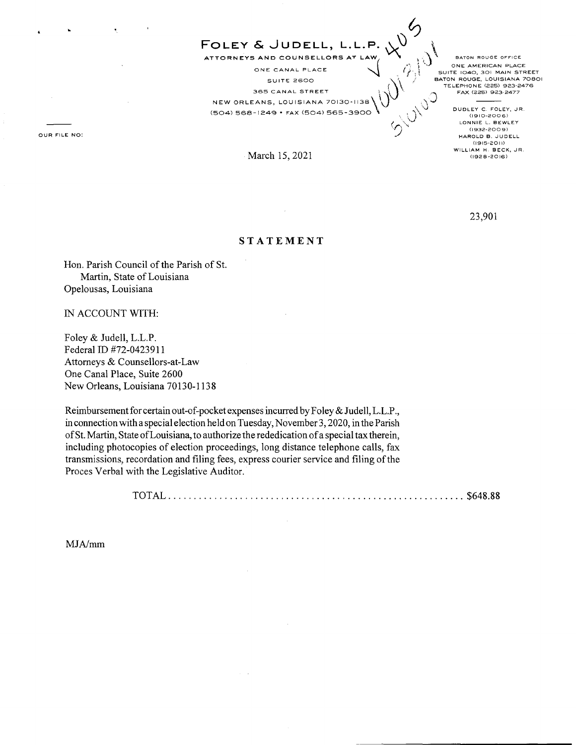ATTORNEYS AND COUNSELLORS AT LAW,  $\bigvee_{i=1}^n \bigvee_{i=1}^n \mathbb{R}$  BATON ROUGE OFFICE ONE CANAL PLACE **A CONE AMERICAN PLACE**<br>
SUITE 2600 **A CONE IN SUITE 1040, 301 MAIN STREET SUIT!:: 2600** 0 NEW ORLEANS, LOUISIANA 70130-1138\\ SUITE 2600<br>365 CANAL STREET **\**<br>365 CANAL STREET **\**  $(504)$  568-1249 • FAX (504) 565-3900  $\sqrt{2}$  .  $\sqrt{2}$  DUDLEY C. FOLEY, JR.

**FOLEY & JUDELL, L.L.P.** ,\..\) \

**···r** ~··.) **~J ONE AMERICAN PLACE**  <sup>1</sup> ONE AMERICAN PLACE<br>
BUITE 1040, 301 MAIN STREET<br>
BATON ROUGE, LOUISIANA 70801<br>
TELEPHONE (225) 923-2476 { **TELEPHONE (225) 923-2476** 

 $6$ 

 $\mathcal{S}_\mu$ 

LONNIE L. BEWLEY **(1932-2009) HAROLD B. JUDELL (1915-2011) WILLIAM H. BECK, JR.**  (1928-2016)

23,901

## **STATEMENT**

March 15, 2021

Hon. Parish Council of the Parish of St. Martin, State of Louisiana Opelousas, Louisiana

IN ACCOUNT WITH:

Foley & Judell, L.L.P. Federal ID #72-0423911 Attorneys & Counsellors-at-Law One Canal Place, Suite 2600 New Orleans, Louisiana 70130-1138

Reimbursement for certain out-of-pocket expenses incurred by Foley & Judell, L.L.P., in connection with a special election held on Tuesday, November 3, 2020, in the Parish of St. Martin, State of Louisiana, to authorize the rededication of a special tax therein, including photocopies of election proceedings, long distance telephone calls, fax transmissions, recordation and filing fees, express courier service and filing of the Proces Verbal with the Legislative Auditor.

TOTAL .......................................................... \$648.88

MJA/mm

**OUR FILE NO:**